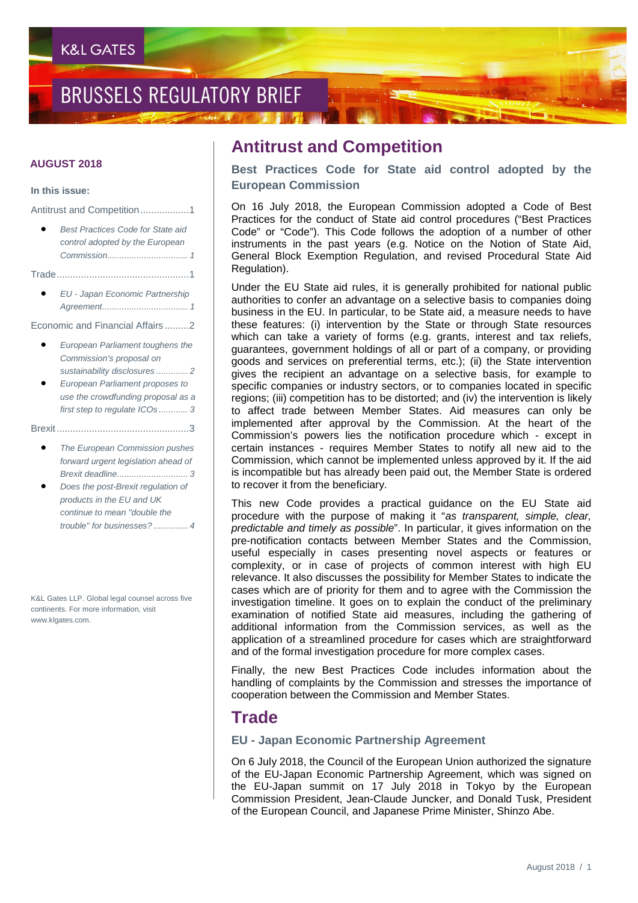## **BRUSSELS REGULATORY BRIEF**

#### **AUGUST 2018**

#### **In this issue:**

Antitrust and Competition..................1

- *Best Practices Code for State aid control adopted by the European Commission................................. 1*
- Trade.................................................1
	- *EU - Japan Economic Partnership Agreement................................... 1*

Economic and Financial Affairs .........2

- *European Parliament toughens the Commission's proposal on sustainability disclosures ............. 2*
- *European Parliament proposes to use the crowdfunding proposal as a first step to regulate ICOs ............ 3*
- Brexit.................................................3
	- *The European Commission pushes forward urgent legislation ahead of Brexit deadline............................. 3*
	- *Does the post-Brexit regulation of products in the EU and UK continue to mean "double the trouble" for businesses? .............. 4*

K&L Gates LLP. Global legal counsel across five continents. For more information, visit www.klgates.com.

## **Antitrust and Competition**

**Best Practices Code for State aid control adopted by the European Commission**

On 16 July 2018, the European Commission adopted a Code of Best Practices for the conduct of State aid control procedures ("Best Practices Code" or "Code"). This Code follows the adoption of a number of other instruments in the past years (e.g. Notice on the Notion of State Aid, General Block Exemption Regulation, and revised Procedural State Aid Regulation).

Under the EU State aid rules, it is generally prohibited for national public authorities to confer an advantage on a selective basis to companies doing business in the EU. In particular, to be State aid, a measure needs to have these features: (i) intervention by the State or through State resources which can take a variety of forms (e.g. grants, interest and tax reliefs, guarantees, government holdings of all or part of a company, or providing goods and services on preferential terms, etc.); (ii) the State intervention gives the recipient an advantage on a selective basis, for example to specific companies or industry sectors, or to companies located in specific regions; (iii) competition has to be distorted; and (iv) the intervention is likely to affect trade between Member States. Aid measures can only be implemented after approval by the Commission. At the heart of the Commission's powers lies the notification procedure which - except in certain instances - requires Member States to notify all new aid to the Commission, which cannot be implemented unless approved by it. If the aid is incompatible but has already been paid out, the Member State is ordered to recover it from the beneficiary.

This new Code provides a practical guidance on the EU State aid procedure with the purpose of making it "*as transparent, simple, clear, predictable and timely as possible*". In particular, it gives information on the pre-notification contacts between Member States and the Commission, useful especially in cases presenting novel aspects or features or complexity, or in case of projects of common interest with high EU relevance. It also discusses the possibility for Member States to indicate the cases which are of priority for them and to agree with the Commission the investigation timeline. It goes on to explain the conduct of the preliminary examination of notified State aid measures, including the gathering of additional information from the Commission services, as well as the application of a streamlined procedure for cases which are straightforward and of the formal investigation procedure for more complex cases.

Finally, the new Best Practices Code includes information about the handling of complaints by the Commission and stresses the importance of cooperation between the Commission and Member States.

### **Trade**

#### **EU - Japan Economic Partnership Agreement**

On 6 July 2018, the Council of the European Union authorized the signature of the EU-Japan Economic Partnership Agreement, which was signed on the EU-Japan summit on 17 July 2018 in Tokyo by the European Commission President, Jean-Claude Juncker, and Donald Tusk, President of the European Council, and Japanese Prime Minister, Shinzo Abe.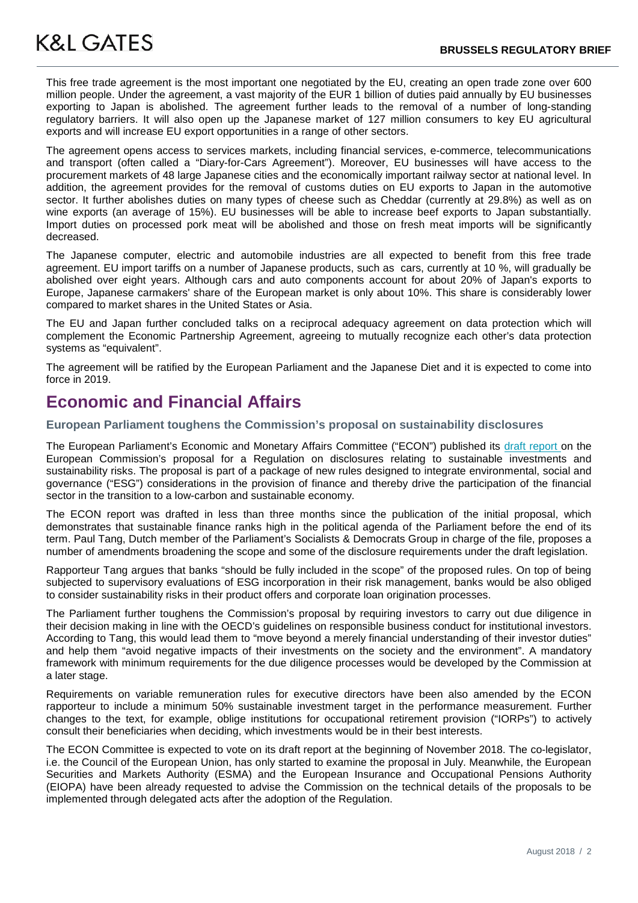**K&L GATES** 

 This free trade agreement is the most important one negotiated by the EU, creating an open trade zone over 600 million people. Under the agreement, a vast majority of the EUR 1 billion of duties paid annually by EU businesses exporting to Japan is abolished. The agreement further leads to the removal of a number of long-standing regulatory barriers. It will also open up the Japanese market of 127 million consumers to key EU agricultural exports and will increase EU export opportunities in a range of other sectors.

The agreement opens access to services markets, including financial services, e-commerce, telecommunications and transport (often called a "Diary-for-Cars Agreement"). Moreover, EU businesses will have access to the procurement markets of 48 large Japanese cities and the economically important railway sector at national level. In addition, the agreement provides for the removal of customs duties on EU exports to Japan in the automotive sector. It further abolishes duties on many types of cheese such as Cheddar (currently at 29.8%) as well as on wine exports (an average of 15%). EU businesses will be able to increase beef exports to Japan substantially. Import duties on processed pork meat will be abolished and those on fresh meat imports will be significantly decreased.

The Japanese computer, electric and automobile industries are all expected to benefit from this free trade agreement. EU import tariffs on a number of Japanese products, such as cars, currently at 10 %, will gradually be abolished over eight years. Although cars and auto components account for about 20% of Japan's exports to Europe, Japanese carmakers' share of the European market is only about 10%. This share is considerably lower compared to market shares in the United States or Asia.

The EU and Japan further concluded talks on a reciprocal adequacy agreement on data protection which will complement the Economic Partnership Agreement, agreeing to mutually recognize each other's data protection systems as "equivalent".

The agreement will be ratified by the European Parliament and the Japanese Diet and it is expected to come into force in 2019.

## **Economic and Financial Affairs**

#### **European Parliament toughens the Commission's proposal on sustainability disclosures**

The European Parliament's Economic and Monetary Affairs Committee ("ECON") published its [draft report](http://www.europarl.europa.eu/sides/getDoc.do?pubRef=-%2f%2fEP%2f%2fNONSGML%2bCOMPARL%2bPE-626.716%2b01%2bDOC%2bPDF%2bV0%2f%2fEN) on the European Commission's proposal for a Regulation on disclosures relating to sustainable investments and sustainability risks. The proposal is part of a package of new rules designed to integrate environmental, social and governance ("ESG") considerations in the provision of finance and thereby drive the participation of the financial sector in the transition to a low-carbon and sustainable economy.

The ECON report was drafted in less than three months since the publication of the initial proposal, which demonstrates that sustainable finance ranks high in the political agenda of the Parliament before the end of its term. Paul Tang, Dutch member of the Parliament's Socialists & Democrats Group in charge of the file, proposes a number of amendments broadening the scope and some of the disclosure requirements under the draft legislation.

Rapporteur Tang argues that banks "should be fully included in the scope" of the proposed rules. On top of being subjected to supervisory evaluations of ESG incorporation in their risk management, banks would be also obliged to consider sustainability risks in their product offers and corporate loan origination processes.

The Parliament further toughens the Commission's proposal by requiring investors to carry out due diligence in their decision making in line with the OECD's guidelines on responsible business conduct for institutional investors. According to Tang, this would lead them to "move beyond a merely financial understanding of their investor duties" and help them "avoid negative impacts of their investments on the society and the environment". A mandatory framework with minimum requirements for the due diligence processes would be developed by the Commission at a later stage.

Requirements on variable remuneration rules for executive directors have been also amended by the ECON rapporteur to include a minimum 50% sustainable investment target in the performance measurement. Further changes to the text, for example, oblige institutions for occupational retirement provision ("IORPs") to actively consult their beneficiaries when deciding, which investments would be in their best interests.

The ECON Committee is expected to vote on its draft report at the beginning of November 2018. The co-legislator, i.e. the Council of the European Union, has only started to examine the proposal in July. Meanwhile, the European Securities and Markets Authority (ESMA) and the European Insurance and Occupational Pensions Authority (EIOPA) have been already requested to advise the Commission on the technical details of the proposals to be implemented through delegated acts after the adoption of the Regulation.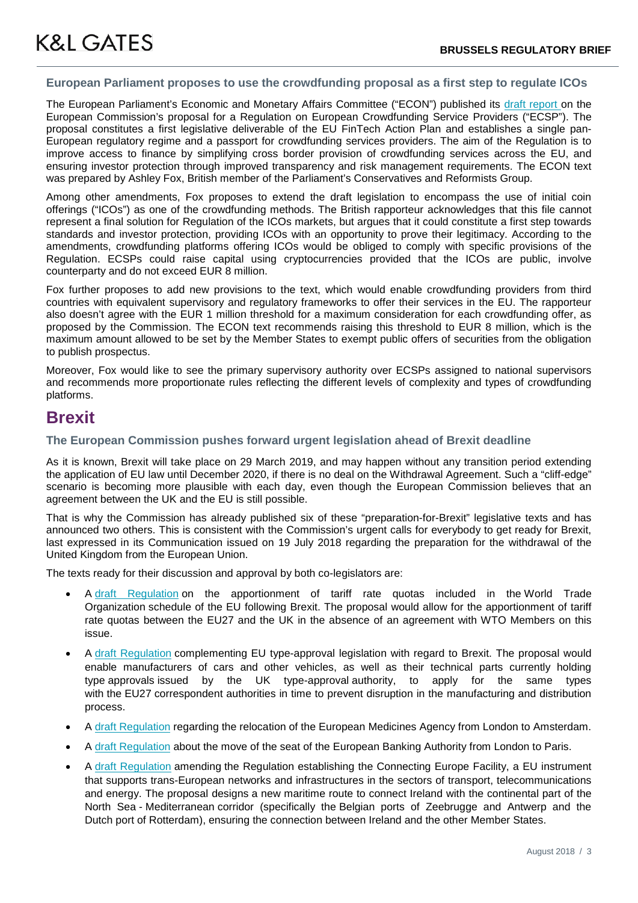#### **European Parliament proposes to use the crowdfunding proposal as a first step to regulate ICOs**

The European Parliament's Economic and Monetary Affairs Committee ("ECON") published its [draft report](http://www.europarl.europa.eu/sides/getDoc.do?pubRef=-%2f%2fEP%2f%2fNONSGML%2bCOMPARL%2bPE-626.662%2b02%2bDOC%2bPDF%2bV0%2f%2fEN) on the European Commission's proposal for a Regulation on European Crowdfunding Service Providers ("ECSP"). The proposal constitutes a first legislative deliverable of the EU FinTech Action Plan and establishes a single pan-European regulatory regime and a passport for crowdfunding services providers. The aim of the Regulation is to improve access to finance by simplifying cross border provision of crowdfunding services across the EU, and ensuring investor protection through improved transparency and risk management requirements. The ECON text was prepared by Ashley Fox, British member of the Parliament's Conservatives and Reformists Group.

Among other amendments, Fox proposes to extend the draft legislation to encompass the use of initial coin offerings ("ICOs") as one of the crowdfunding methods. The British rapporteur acknowledges that this file cannot represent a final solution for Regulation of the ICOs markets, but argues that it could constitute a first step towards standards and investor protection, providing ICOs with an opportunity to prove their legitimacy. According to the amendments, crowdfunding platforms offering ICOs would be obliged to comply with specific provisions of the Regulation. ECSPs could raise capital using cryptocurrencies provided that the ICOs are public, involve counterparty and do not exceed EUR 8 million.

Fox further proposes to add new provisions to the text, which would enable crowdfunding providers from third countries with equivalent supervisory and regulatory frameworks to offer their services in the EU. The rapporteur also doesn't agree with the EUR 1 million threshold for a maximum consideration for each crowdfunding offer, as proposed by the Commission. The ECON text recommends raising this threshold to EUR 8 million, which is the maximum amount allowed to be set by the Member States to exempt public offers of securities from the obligation to publish prospectus.

Moreover, Fox would like to see the primary supervisory authority over ECSPs assigned to national supervisors and recommends more proportionate rules reflecting the different levels of complexity and types of crowdfunding platforms.

## **Brexit**

#### **The European Commission pushes forward urgent legislation ahead of Brexit deadline**

As it is known, Brexit will take place on 29 March 2019, and may happen without any transition period extending the application of EU law until December 2020, if there is no deal on the Withdrawal Agreement. Such a "cliff-edge" scenario is becoming more plausible with each day, even though the European Commission believes that an agreement between the UK and the EU is still possible.

That is why the Commission has already published six of these "preparation-for-Brexit" legislative texts and has announced two others. This is consistent with the Commission's urgent calls for everybody to get ready for Brexit, last expressed in its Communication issued on 19 July 2018 regarding the preparation for the withdrawal of the United Kingdom from the European Union.

The texts ready for their discussion and approval by both co-legislators are:

- A [draft Regulation](https://eur-lex.europa.eu/resource.html?uri=cellar:56fe97e6-5dd6-11e8-ab9c-01aa75ed71a1.0017.02/DOC_1&format=PDF) on the apportionment of tariff rate quotas included in the World Trade Organization schedule of the EU following Brexit. The proposal would allow for the apportionment of tariff rate quotas between the EU27 and the UK in the absence of an agreement with WTO Members on this issue.
- A [draft Regulation](https://eur-lex.europa.eu/legal-content/EN/TXT/PDF/?uri=CELEX:52018PC0397&from=EN) complementing EU type-approval legislation with regard to Brexit. The proposal would enable manufacturers of cars and other vehicles, as well as their technical parts currently holding type approvals issued by the UK type-approval authority, to apply for the same types with the EU27 correspondent authorities in time to prevent disruption in the manufacturing and distribution process.
- A [draft Regulation](https://eur-lex.europa.eu/legal-content/EN/TXT/PDF/?uri=CELEX:52017PC0735&from=en) regarding the relocation of the European Medicines Agency from London to Amsterdam.
- A [draft Regulation](https://eur-lex.europa.eu/legal-content/EN/TXT/PDF/?uri=CELEX:52017PC0734&from=EN) about the move of the seat of the European Banking Authority from London to Paris.
- A [draft Regulation](https://eur-lex.europa.eu/legal-content/EN/TXT/PDF/?uri=CELEX:52018PC0568&from=EN) amending the Regulation establishing the Connecting Europe Facility, a EU instrument that supports trans-European networks and infrastructures in the sectors of transport, telecommunications and energy. The proposal designs a new maritime route to connect Ireland with the continental part of the North Sea - Mediterranean corridor (specifically the Belgian ports of Zeebrugge and Antwerp and the Dutch port of Rotterdam), ensuring the connection between Ireland and the other Member States.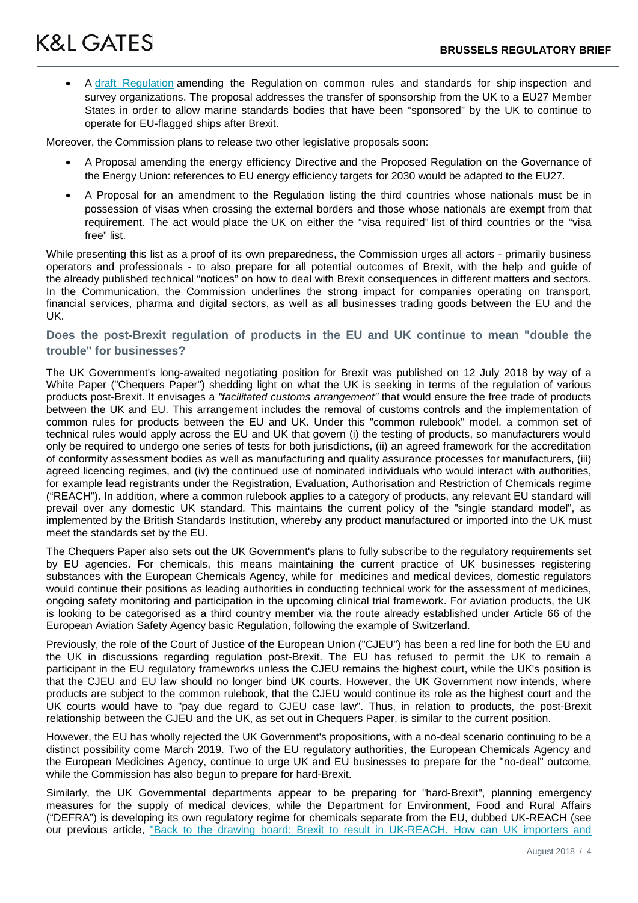• <sup>A</sup> [draft Regulation](https://eur-lex.europa.eu/legal-content/EN/TXT/PDF/?uri=CELEX:52018PC0567&from=EN) amending the Regulation on common rules and standards for ship inspection and survey organizations. The proposal addresses the transfer of sponsorship from the UK to a EU27 Member States in order to allow marine standards bodies that have been "sponsored" by the UK to continue to operate for EU-flagged ships after Brexit.

Moreover, the Commission plans to release two other legislative proposals soon:

- A Proposal amending the energy efficiency Directive and the Proposed Regulation on the Governance of the Energy Union: references to EU energy efficiency targets for 2030 would be adapted to the EU27.
- A Proposal for an amendment to the Regulation listing the third countries whose nationals must be in possession of visas when crossing the external borders and those whose nationals are exempt from that requirement. The act would place the UK on either the "visa required" list of third countries or the "visa free" list.

While presenting this list as a proof of its own preparedness, the Commission urges all actors - primarily business operators and professionals - to also prepare for all potential outcomes of Brexit, with the help and guide of the already published technical "notices" on how to deal with Brexit consequences in different matters and sectors. In the Communication, the Commission underlines the strong impact for companies operating on transport, financial services, pharma and digital sectors, as well as all businesses trading goods between the EU and the UK.

#### **Does the post-Brexit regulation of products in the EU and UK continue to mean "double the trouble" for businesses?**

The UK Government's long-awaited negotiating position for Brexit was published on 12 July 2018 by way of a White Paper ("Chequers Paper") shedding light on what the UK is seeking in terms of the regulation of various products post-Brexit. It envisages a *"facilitated customs arrangement"* that would ensure the free trade of products between the UK and EU. This arrangement includes the removal of customs controls and the implementation of common rules for products between the EU and UK. Under this "common rulebook" model, a common set of technical rules would apply across the EU and UK that govern (i) the testing of products, so manufacturers would only be required to undergo one series of tests for both jurisdictions, (ii) an agreed framework for the accreditation of conformity assessment bodies as well as manufacturing and quality assurance processes for manufacturers, (iii) agreed licencing regimes, and (iv) the continued use of nominated individuals who would interact with authorities, for example lead registrants under the Registration, Evaluation, Authorisation and Restriction of Chemicals regime ("REACH"). In addition, where a common rulebook applies to a category of products, any relevant EU standard will prevail over any domestic UK standard. This maintains the current policy of the "single standard model", as implemented by the British Standards Institution, whereby any product manufactured or imported into the UK must meet the standards set by the EU.

The Chequers Paper also sets out the UK Government's plans to fully subscribe to the regulatory requirements set by EU agencies. For chemicals, this means maintaining the current practice of UK businesses registering substances with the European Chemicals Agency, while for medicines and medical devices, domestic regulators would continue their positions as leading authorities in conducting technical work for the assessment of medicines, ongoing safety monitoring and participation in the upcoming clinical trial framework. For aviation products, the UK is looking to be categorised as a third country member via the route already established under Article 66 of the European Aviation Safety Agency basic Regulation, following the example of Switzerland.

Previously, the role of the Court of Justice of the European Union ("CJEU") has been a red line for both the EU and the UK in discussions regarding regulation post-Brexit. The EU has refused to permit the UK to remain a participant in the EU regulatory frameworks unless the CJEU remains the highest court, while the UK's position is that the CJEU and EU law should no longer bind UK courts. However, the UK Government now intends, where products are subject to the common rulebook, that the CJEU would continue its role as the highest court and the UK courts would have to "pay due regard to CJEU case law". Thus, in relation to products, the post-Brexit relationship between the CJEU and the UK, as set out in Chequers Paper, is similar to the current position.

However, the EU has wholly rejected the UK Government's propositions, with a no-deal scenario continuing to be a distinct possibility come March 2019. Two of the EU regulatory authorities, the European Chemicals Agency and the European Medicines Agency, continue to urge UK and EU businesses to prepare for the "no-deal" outcome, while the Commission has also begun to prepare for hard-Brexit.

Similarly, the UK Governmental departments appear to be preparing for "hard-Brexit", planning emergency measures for the supply of medical devices, while the Department for Environment, Food and Rural Affairs ("DEFRA") is developing its own regulatory regime for chemicals separate from the EU, dubbed UK-REACH (see our previous article, "Back to the drawing board: Brexit to result in UK-REACH. How can UK importers and